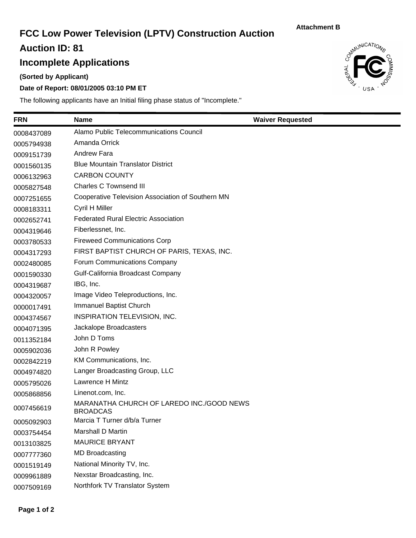# **FCC Low Power Television (LPTV) Construction Auction**

**Attachment B**

**Auction ID: 81**

## **Incomplete Applications**

**(Sorted by Applicant)**

### **Date of Report: 08/01/2005 03:10 PM ET**

The following applicants have an Initial filing phase status of "Incomplete."